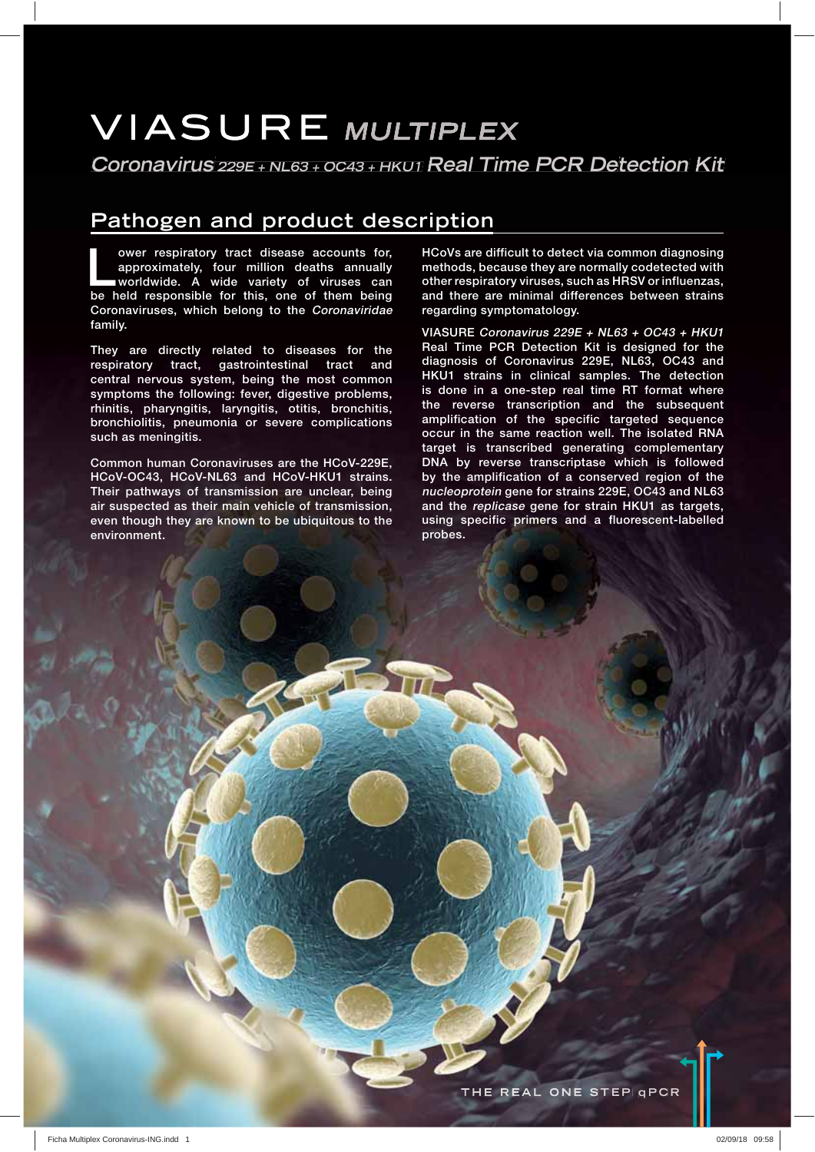# **VIASURE MULTIPLEX**

**Coronavirus 229E + NL63 <sup>+</sup> OC43 + HKU1 Real Time PCR Detection Kit**

## **Pathogen and product description**

ower respiratory tract disease accounts for,<br>approximately, four million deaths annually<br>worldwide. A wide variety of viruses can<br>be hold responsible for this and of them being **approximately, four million deaths annually worldwide. A wide variety of viruses can be held responsible for this, one of them being Coronaviruses, which belong to the Coronaviridae family.**

**They are directly related to diseases for the respiratory tract, gastrointestinal tract and central nervous system, being the most common symptoms the following: fever, digestive problems, rhinitis, pharyngitis, laryngitis, otitis, bronchitis, bronchiolitis, pneumonia or severe complications such as meningitis.**

**Common human Coronaviruses are the HCoV-229E, HCoV-OC43, HCoV-NL63 and HCoV-HKU1 strains. Their pathways of transmission are unclear, being air suspected as their main vehicle of transmission, even though they are known to be ubiquitous to the environment.**

**HCoVs are difficult to detect via common diagnosing methods, because they are normally codetected with other respiratory viruses, such as HRSV or influenzas, and there are minimal differences between strains regarding symptomatology.**

**VIASURE Coronavirus 229E + NL63 + OC43 + HKU1 Real Time PCR Detection Kit is designed for the diagnosis of Coronavirus 229E, NL63, OC43 and HKU1 strains in clinical samples. The detection is done in a one-step real time RT format where the reverse transcription and the subsequent amplification of the specific targeted sequence occur in the same reaction well. The isolated RNA target is transcribed generating complementary DNA by reverse transcriptase which is followed by the amplification of a conserved region of the nucleoprotein gene for strains 229E, OC43 and NL63 and the replicase gene for strain HKU1 as targets, using specific primers and a fluorescent-labelled probes.**